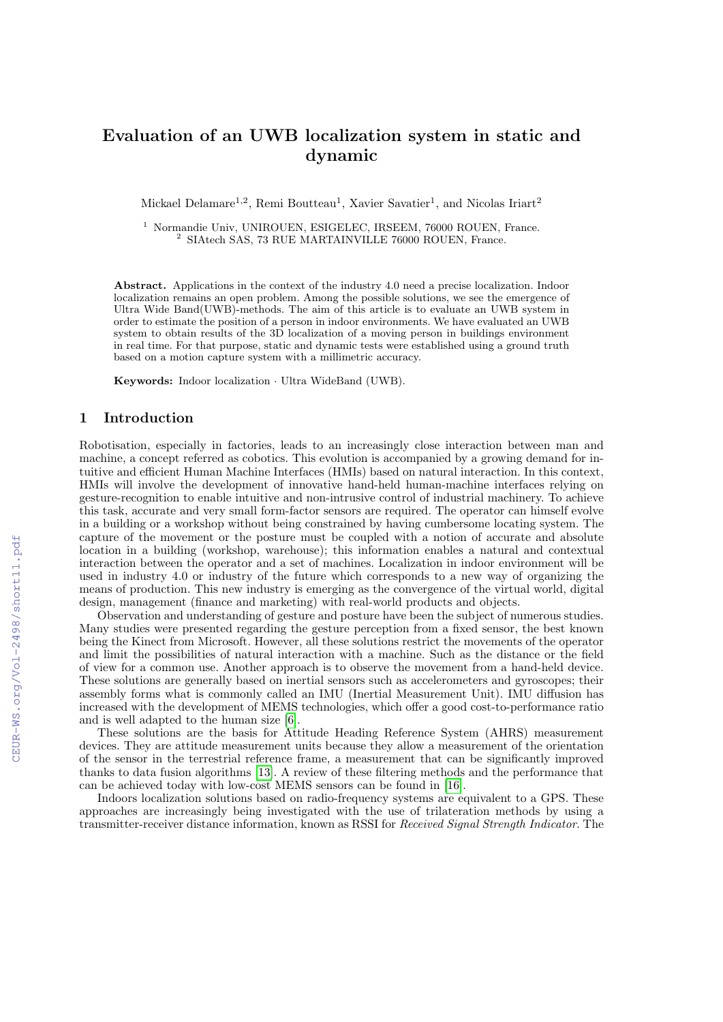# Evaluation of an UWB localization system in static and dynamic

Mickael Delamare<sup>1,2</sup>, Remi Boutteau<sup>1</sup>, Xavier Savatier<sup>1</sup>, and Nicolas Iriart<sup>2</sup>

<sup>1</sup> Normandie Univ, UNIROUEN, ESIGELEC, IRSEEM, 76000 ROUEN, France. <sup>2</sup> SIAtech SAS, 73 RUE MARTAINVILLE 76000 ROUEN, France.

Abstract. Applications in the context of the industry 4.0 need a precise localization. Indoor localization remains an open problem. Among the possible solutions, we see the emergence of Ultra Wide Band(UWB)-methods. The aim of this article is to evaluate an UWB system in order to estimate the position of a person in indoor environments. We have evaluated an UWB system to obtain results of the 3D localization of a moving person in buildings environment in real time. For that purpose, static and dynamic tests were established using a ground truth based on a motion capture system with a millimetric accuracy.

Keywords: Indoor localization · Ultra WideBand (UWB).

# 1 Introduction

Robotisation, especially in factories, leads to an increasingly close interaction between man and machine, a concept referred as cobotics. This evolution is accompanied by a growing demand for intuitive and efficient Human Machine Interfaces (HMIs) based on natural interaction. In this context, HMIs will involve the development of innovative hand-held human-machine interfaces relying on gesture-recognition to enable intuitive and non-intrusive control of industrial machinery. To achieve this task, accurate and very small form-factor sensors are required. The operator can himself evolve in a building or a workshop without being constrained by having cumbersome locating system. The capture of the movement or the posture must be coupled with a notion of accurate and absolute location in a building (workshop, warehouse); this information enables a natural and contextual interaction between the operator and a set of machines. Localization in indoor environment will be used in industry 4.0 or industry of the future which corresponds to a new way of organizing the means of production. This new industry is emerging as the convergence of the virtual world, digital design, management (finance and marketing) with real-world products and objects.

Observation and understanding of gesture and posture have been the subject of numerous studies. Many studies were presented regarding the gesture perception from a fixed sensor, the best known being the Kinect from Microsoft. However, all these solutions restrict the movements of the operator and limit the possibilities of natural interaction with a machine. Such as the distance or the field of view for a common use. Another approach is to observe the movement from a hand-held device. These solutions are generally based on inertial sensors such as accelerometers and gyroscopes; their assembly forms what is commonly called an IMU (Inertial Measurement Unit). IMU diffusion has increased with the development of MEMS technologies, which offer a good cost-to-performance ratio and is well adapted to the human size [\[6\]](#page--1-0).

These solutions are the basis for Attitude Heading Reference System (AHRS) measurement devices. They are attitude measurement units because they allow a measurement of the orientation of the sensor in the terrestrial reference frame, a measurement that can be significantly improved thanks to data fusion algorithms [\[13\]](#page--1-1). A review of these filtering methods and the performance that can be achieved today with low-cost MEMS sensors can be found in [\[16\]](#page--1-2).

Indoors localization solutions based on radio-frequency systems are equivalent to a GPS. These approaches are increasingly being investigated with the use of trilateration methods by using a transmitter-receiver distance information, known as RSSI for Received Signal Strength Indicator. The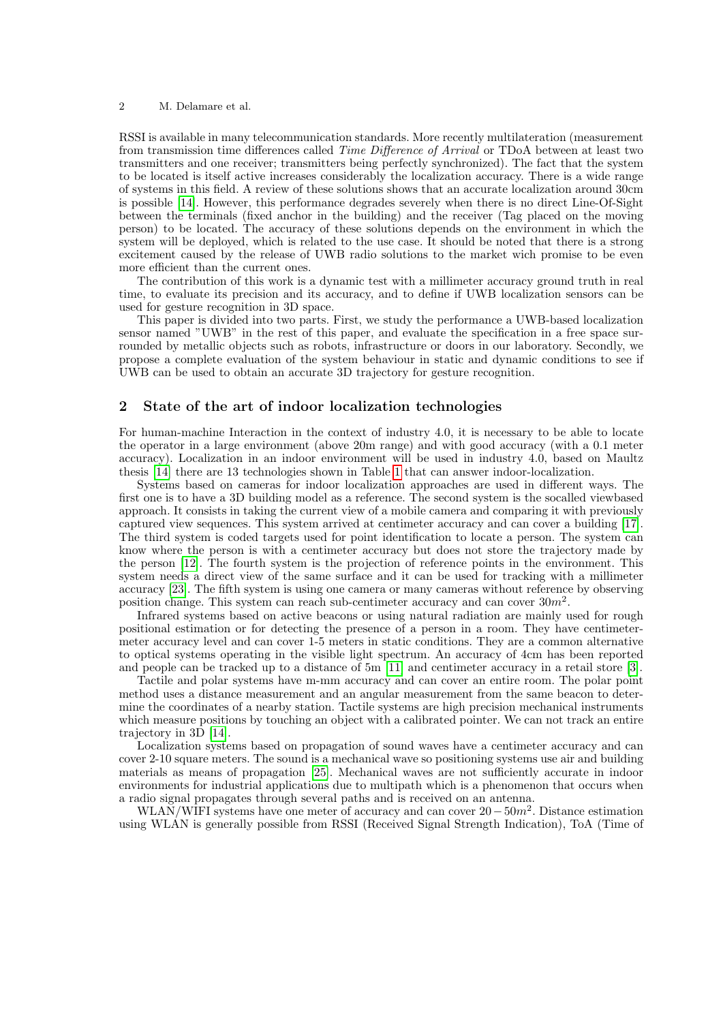#### 2 M. Delamare et al.

RSSI is available in many telecommunication standards. More recently multilateration (measurement from transmission time differences called Time Difference of Arrival or TDoA between at least two transmitters and one receiver; transmitters being perfectly synchronized). The fact that the system to be located is itself active increases considerably the localization accuracy. There is a wide range of systems in this field. A review of these solutions shows that an accurate localization around 30cm is possible [\[14\]](#page-6-0). However, this performance degrades severely when there is no direct Line-Of-Sight between the terminals (fixed anchor in the building) and the receiver (Tag placed on the moving person) to be located. The accuracy of these solutions depends on the environment in which the system will be deployed, which is related to the use case. It should be noted that there is a strong excitement caused by the release of UWB radio solutions to the market wich promise to be even more efficient than the current ones.

The contribution of this work is a dynamic test with a millimeter accuracy ground truth in real time, to evaluate its precision and its accuracy, and to define if UWB localization sensors can be used for gesture recognition in 3D space.

This paper is divided into two parts. First, we study the performance a UWB-based localization sensor named "UWB" in the rest of this paper, and evaluate the specification in a free space surrounded by metallic objects such as robots, infrastructure or doors in our laboratory. Secondly, we propose a complete evaluation of the system behaviour in static and dynamic conditions to see if UWB can be used to obtain an accurate 3D trajectory for gesture recognition.

## 2 State of the art of indoor localization technologies

For human-machine Interaction in the context of industry 4.0, it is necessary to be able to locate the operator in a large environment (above 20m range) and with good accuracy (with a 0.1 meter accuracy). Localization in an indoor environment will be used in industry 4.0, based on Maultz thesis [\[14\]](#page-6-0) there are 13 technologies shown in Table [1](#page-2-0) that can answer indoor-localization.

Systems based on cameras for indoor localization approaches are used in different ways. The first one is to have a 3D building model as a reference. The second system is the socalled viewbased approach. It consists in taking the current view of a mobile camera and comparing it with previously captured view sequences. This system arrived at centimeter accuracy and can cover a building [\[17\]](#page-6-1). The third system is coded targets used for point identification to locate a person. The system can know where the person is with a centimeter accuracy but does not store the trajectory made by the person [\[12\]](#page-6-2). The fourth system is the projection of reference points in the environment. This system needs a direct view of the same surface and it can be used for tracking with a millimeter accuracy [\[23\]](#page-6-3). The fifth system is using one camera or many cameras without reference by observing position change. This system can reach sub-centimeter accuracy and can cover  $30m^2$ .

Infrared systems based on active beacons or using natural radiation are mainly used for rough positional estimation or for detecting the presence of a person in a room. They have centimetermeter accuracy level and can cover 1-5 meters in static conditions. They are a common alternative to optical systems operating in the visible light spectrum. An accuracy of 4cm has been reported and people can be tracked up to a distance of 5m [\[11\]](#page-6-4) and centimeter accuracy in a retail store [\[3\]](#page-6-5).

Tactile and polar systems have m-mm accuracy and can cover an entire room. The polar point method uses a distance measurement and an angular measurement from the same beacon to determine the coordinates of a nearby station. Tactile systems are high precision mechanical instruments which measure positions by touching an object with a calibrated pointer. We can not track an entire trajectory in 3D [\[14\]](#page-6-0).

Localization systems based on propagation of sound waves have a centimeter accuracy and can cover 2-10 square meters. The sound is a mechanical wave so positioning systems use air and building materials as means of propagation [\[25\]](#page-6-6). Mechanical waves are not sufficiently accurate in indoor environments for industrial applications due to multipath which is a phenomenon that occurs when a radio signal propagates through several paths and is received on an antenna.

WLAN/WIFI systems have one meter of accuracy and can cover  $20 - 50m^2$ . Distance estimation using WLAN is generally possible from RSSI (Received Signal Strength Indication), ToA (Time of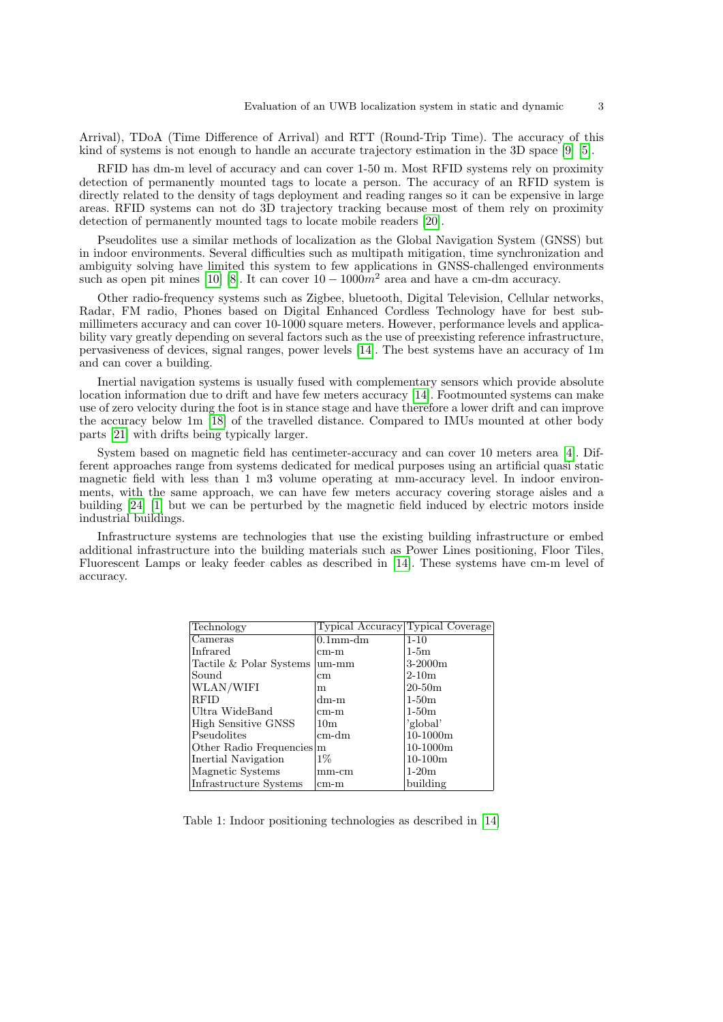Arrival), TDoA (Time Difference of Arrival) and RTT (Round-Trip Time). The accuracy of this kind of systems is not enough to handle an accurate trajectory estimation in the 3D space [\[9\]](#page-6-7) [\[5\]](#page-6-8).

RFID has dm-m level of accuracy and can cover 1-50 m. Most RFID systems rely on proximity detection of permanently mounted tags to locate a person. The accuracy of an RFID system is directly related to the density of tags deployment and reading ranges so it can be expensive in large areas. RFID systems can not do 3D trajectory tracking because most of them rely on proximity detection of permanently mounted tags to locate mobile readers [\[20\]](#page-6-9).

Pseudolites use a similar methods of localization as the Global Navigation System (GNSS) but in indoor environments. Several difficulties such as multipath mitigation, time synchronization and ambiguity solving have limited this system to few applications in GNSS-challenged environments such as open pit mines [\[10\]](#page-6-10) [\[8\]](#page-6-11). It can cover  $10 - 1000m^2$  area and have a cm-dm accuracy.

Other radio-frequency systems such as Zigbee, bluetooth, Digital Television, Cellular networks, Radar, FM radio, Phones based on Digital Enhanced Cordless Technology have for best submillimeters accuracy and can cover 10-1000 square meters. However, performance levels and applicability vary greatly depending on several factors such as the use of preexisting reference infrastructure, pervasiveness of devices, signal ranges, power levels [\[14\]](#page-6-0). The best systems have an accuracy of 1m and can cover a building.

Inertial navigation systems is usually fused with complementary sensors which provide absolute location information due to drift and have few meters accuracy [\[14\]](#page-6-0). Footmounted systems can make use of zero velocity during the foot is in stance stage and have therefore a lower drift and can improve the accuracy below 1m [\[18\]](#page-6-12) of the travelled distance. Compared to IMUs mounted at other body parts [\[21\]](#page-6-13) with drifts being typically larger.

System based on magnetic field has centimeter-accuracy and can cover 10 meters area [\[4\]](#page-6-14). Different approaches range from systems dedicated for medical purposes using an artificial quasi static magnetic field with less than 1 m3 volume operating at mm-accuracy level. In indoor environments, with the same approach, we can have few meters accuracy covering storage aisles and a building [\[24\]](#page-6-15) [\[1\]](#page-5-0) but we can be perturbed by the magnetic field induced by electric motors inside industrial buildings.

<span id="page-2-0"></span>Infrastructure systems are technologies that use the existing building infrastructure or embed additional infrastructure into the building materials such as Power Lines positioning, Floor Tiles, Fluorescent Lamps or leaky feeder cables as described in [\[14\]](#page-6-0). These systems have cm-m level of accuracy.

| Technology                | Typical Accuracy Typical Coverage |            |
|---------------------------|-----------------------------------|------------|
| Cameras                   | $0.1$ mm-dm                       | $1 - 10$   |
| Infrared                  | $cm-m$                            | $1-5m$     |
| Tactile & Polar Systems   | um-mm                             | $3-2000m$  |
| Sound                     | $\,\mathrm{cm}$                   | $2-10m$    |
| WLAN/WIFI                 | m                                 | $20 - 50m$ |
| RFID                      | $dm-m$                            | $1-50m$    |
| Ultra WideBand            | $cm-m$                            | $1-50m$    |
| High Sensitive GNSS       | 10 <sub>m</sub>                   | 'global'   |
| $ P$ seudolites           | $cm$ -dm                          | $10-1000m$ |
| Other Radio Frequencies m |                                   | $10-1000m$ |
| Inertial Navigation       | $1\%$                             | $10-100m$  |
| Magnetic Systems          | $mm$ -cm                          | $1-20m$    |
| Infrastructure Systems    | $cm-m$                            | building   |

Table 1: Indoor positioning technologies as described in [\[14\]](#page-6-0)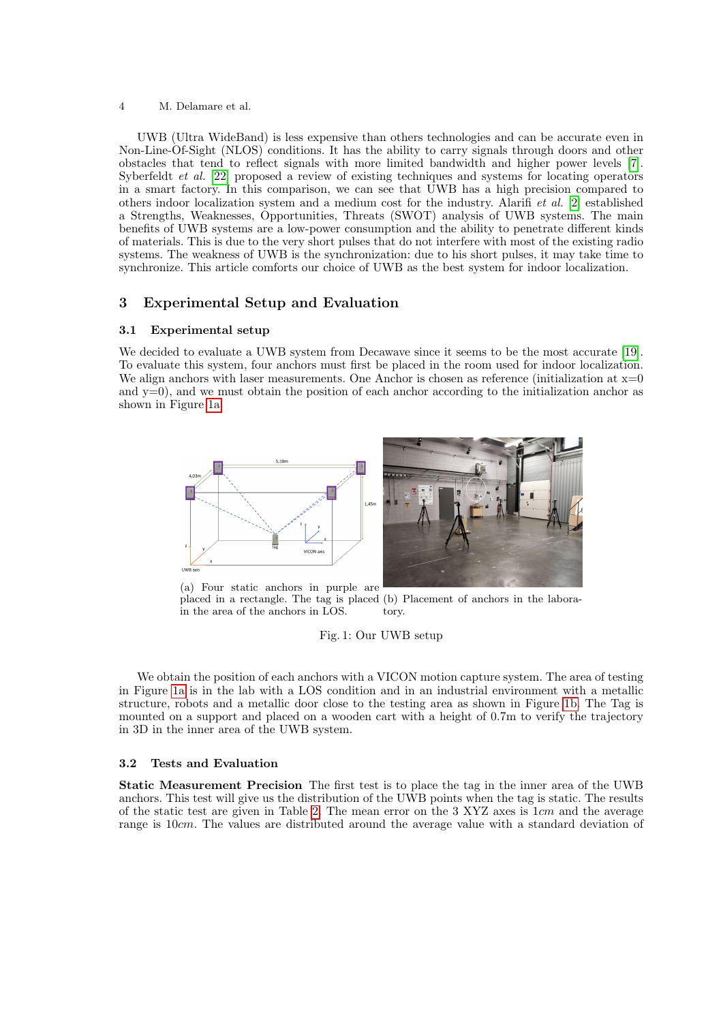#### 4 M. Delamare et al.

UWB (Ultra WideBand) is less expensive than others technologies and can be accurate even in Non-Line-Of-Sight (NLOS) conditions. It has the ability to carry signals through doors and other obstacles that tend to reflect signals with more limited bandwidth and higher power levels [\[7\]](#page-6-16). Syberfeldt et al. [\[22\]](#page-6-17) proposed a review of existing techniques and systems for locating operators in a smart factory. In this comparison, we can see that UWB has a high precision compared to others indoor localization system and a medium cost for the industry. Alarifi et al. [\[2\]](#page-6-18) established a Strengths, Weaknesses, Opportunities, Threats (SWOT) analysis of UWB systems. The main benefits of UWB systems are a low-power consumption and the ability to penetrate different kinds of materials. This is due to the very short pulses that do not interfere with most of the existing radio systems. The weakness of UWB is the synchronization: due to his short pulses, it may take time to synchronize. This article comforts our choice of UWB as the best system for indoor localization.

# 3 Experimental Setup and Evaluation

# 3.1 Experimental setup

We decided to evaluate a UWB system from Decawave since it seems to be the most accurate [\[19\]](#page-6-19). To evaluate this system, four anchors must first be placed in the room used for indoor localization. We align anchors with laser measurements. One Anchor is chosen as reference (initialization at  $x=0$ and  $y=0$ ), and we must obtain the position of each anchor according to the initialization anchor as shown in Figure [1a.](#page-3-0)

<span id="page-3-0"></span>

placed in a rectangle. The tag is placed (b) Placement of anchors in the laborain the area of the anchors in LOS. tory.

## Fig. 1: Our UWB setup

We obtain the position of each anchors with a VICON motion capture system. The area of testing in Figure [1a](#page-3-0) is in the lab with a LOS condition and in an industrial environment with a metallic structure, robots and a metallic door close to the testing area as shown in Figure [1b.](#page-3-0) The Tag is mounted on a support and placed on a wooden cart with a height of 0.7m to verify the trajectory in 3D in the inner area of the UWB system.

#### 3.2 Tests and Evaluation

Static Measurement Precision The first test is to place the tag in the inner area of the UWB anchors. This test will give us the distribution of the UWB points when the tag is static. The results of the static test are given in Table [2.](#page-4-0) The mean error on the 3 XYZ axes is 1cm and the average range is 10cm. The values are distributed around the average value with a standard deviation of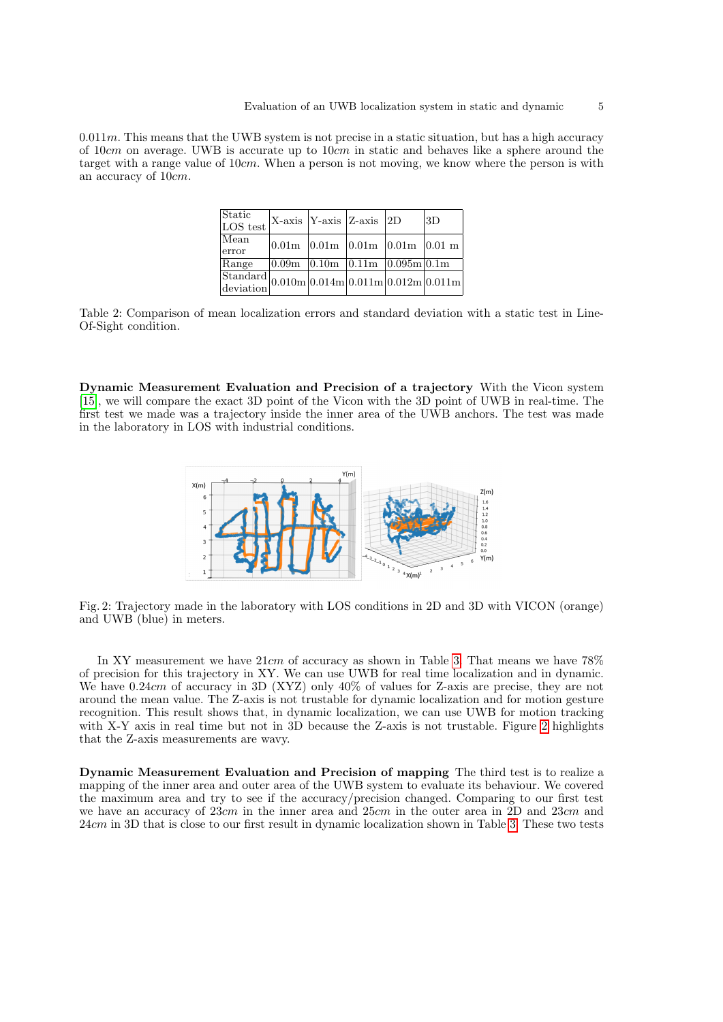<span id="page-4-0"></span> $0.011m$ . This means that the UWB system is not precise in a static situation, but has a high accuracy of 10cm on average. UWB is accurate up to  $10cm$  in static and behaves like a sphere around the target with a range value of 10cm. When a person is not moving, we know where the person is with an accuracy of 10cm.

| Static<br>LOS test                                                                                                                                                                                                   | $ X\text{-axis} $ Y-axis $ Z\text{-axis} $ 2D            |  | 3D |
|----------------------------------------------------------------------------------------------------------------------------------------------------------------------------------------------------------------------|----------------------------------------------------------|--|----|
| Mean<br>error                                                                                                                                                                                                        | $ 0.01m $ $ 0.01m $ $ 0.01m $ $ 0.01m $ $ 0.01m $        |  |    |
| Range                                                                                                                                                                                                                | $ 0.09m $ $ 0.10m $ $ 0.\overline{11m} $ $ 0.095m 0.1m $ |  |    |
| $\begin{array}{l l} \text{Standard} & 0.010\text{m} & 0.014\text{m} & 0.011\text{m} & 0.012\text{m} & 0.011\text{m} \\ \text{deviation} & 0.010\text{m} & 0.014\text{m} & 0.012\text{m} & 0.011\text{m} \end{array}$ |                                                          |  |    |

Table 2: Comparison of mean localization errors and standard deviation with a static test in Line-Of-Sight condition.

<span id="page-4-1"></span>Dynamic Measurement Evaluation and Precision of a trajectory With the Vicon system [\[15\]](#page-6-20), we will compare the exact 3D point of the Vicon with the 3D point of UWB in real-time. The first test we made was a trajectory inside the inner area of the UWB anchors. The test was made in the laboratory in LOS with industrial conditions.



Fig. 2: Trajectory made in the laboratory with LOS conditions in 2D and 3D with VICON (orange) and UWB (blue) in meters.

In XY measurement we have  $21cm$  of accuracy as shown in Table [3.](#page-5-1) That means we have  $78\%$ of precision for this trajectory in XY. We can use UWB for real time localization and in dynamic. We have 0.24cm of accuracy in 3D (XYZ) only 40% of values for Z-axis are precise, they are not around the mean value. The Z-axis is not trustable for dynamic localization and for motion gesture recognition. This result shows that, in dynamic localization, we can use UWB for motion tracking with X-Y axis in real time but not in 3D because the Z-axis is not trustable. Figure [2](#page-4-1) highlights that the Z-axis measurements are wavy.

Dynamic Measurement Evaluation and Precision of mapping The third test is to realize a mapping of the inner area and outer area of the UWB system to evaluate its behaviour. We covered the maximum area and try to see if the accuracy/precision changed. Comparing to our first test we have an accuracy of 23cm in the inner area and 25cm in the outer area in 2D and 23cm and 24cm in 3D that is close to our first result in dynamic localization shown in Table [3.](#page-5-1) These two tests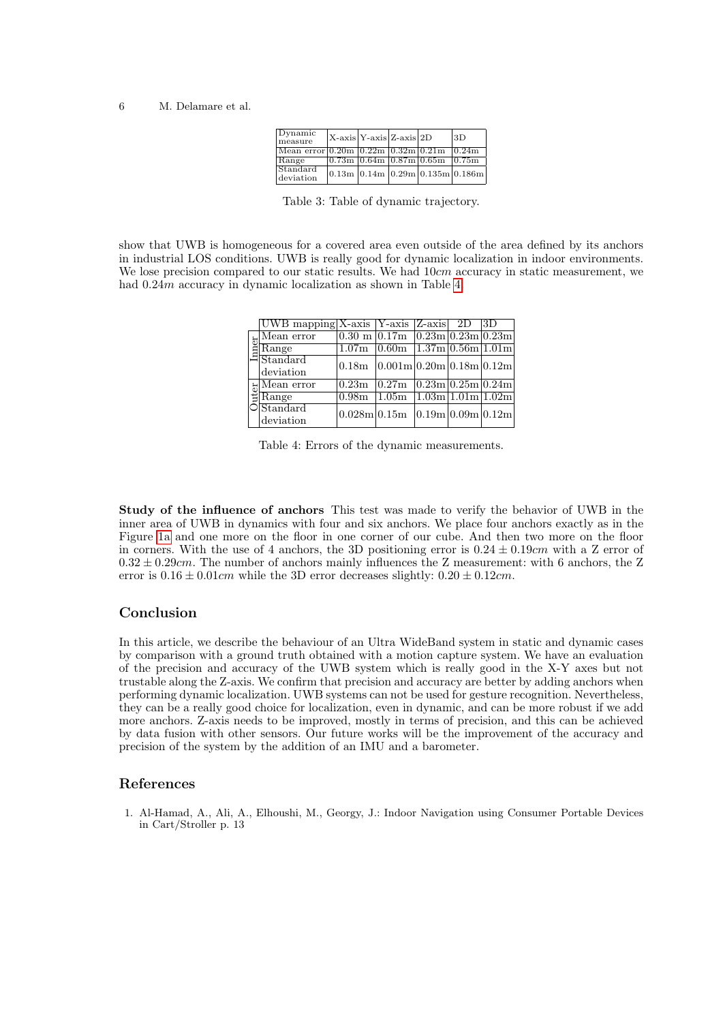| $D$ ynamic<br>measure                    | $ X-axis Y-axis Z-axis 2D$ |  |                                                                                                                                                        | 13D                             |
|------------------------------------------|----------------------------|--|--------------------------------------------------------------------------------------------------------------------------------------------------------|---------------------------------|
| Mean error 0.20m 0.22m 0.32m 0.21m 0.24m |                            |  |                                                                                                                                                        |                                 |
| Range                                    |                            |  | $\sqrt{0.73 \text{m} \times 0.64 \text{m} \times 0.87 \text{m} \times 0.65 \text{m}}$ $\sqrt{0.75 \text{m} \times 0.64 \text{m} \times 0.64 \text{m}}$ |                                 |
| Standard<br>deviation                    |                            |  |                                                                                                                                                        | 0.13m 0.14m 0.29m 0.135m 0.186m |

Table 3: Table of dynamic trajectory.

<span id="page-5-2"></span><span id="page-5-1"></span>show that UWB is homogeneous for a covered area even outside of the area defined by its anchors in industrial LOS conditions. UWB is really good for dynamic localization in indoor environments. We lose precision compared to our static results. We had  $10cm$  accuracy in static measurement, we had  $0.24m$  accuracy in dynamic localization as shown in Table [4.](#page-5-2)

|  | $ UWB$ mapping $ X-axis $ Y-axis $ Z-axis $ 2D $ 3D$                                                                                                                 |                  |                                                                                                          |  |  |
|--|----------------------------------------------------------------------------------------------------------------------------------------------------------------------|------------------|----------------------------------------------------------------------------------------------------------|--|--|
|  |                                                                                                                                                                      |                  | $0.30$ m $0.17$ m $0.23$ m $0.23$ m $0.23$ m                                                             |  |  |
|  | $\begin{tabular}{l} \underline{\underline{\mathbf{b}}} \underline{\text{Mean error}} \\ \underline{\underline{\mathbf{R}}}\underline{\text{Range}} \\ \end{tabular}$ |                  | $1.07m$ 0.60m $1.37m$ 0.56m 1.01m                                                                        |  |  |
|  | deviation                                                                                                                                                            |                  | 0.18m   0.001m  0.20m  0.18m  0.12m                                                                      |  |  |
|  | $\frac{1}{2}$ $\frac{1}{\text{Range}}$                                                                                                                               |                  | $\boxed{0.23\text{m}$ $\boxed{0.27\text{m}$ $\boxed{0.23\text{m} \cdot 0.25\text{m} \cdot 0.24\text{m}}$ |  |  |
|  |                                                                                                                                                                      | $0.98\mathrm{m}$ | $1.05m$ $1.03m$ $1.01m$ $1.02m$                                                                          |  |  |
|  | $\circ$ Standard<br>deviation                                                                                                                                        |                  | 0.028m 0.15m 0.19m 0.09m 0.12m                                                                           |  |  |

Table 4: Errors of the dynamic measurements.

Study of the influence of anchors This test was made to verify the behavior of UWB in the inner area of UWB in dynamics with four and six anchors. We place four anchors exactly as in the Figure [1a](#page-3-0) and one more on the floor in one corner of our cube. And then two more on the floor in corners. With the use of 4 anchors, the 3D positioning error is  $0.24 \pm 0.19$ cm with a Z error of  $0.32 \pm 0.29$ cm. The number of anchors mainly influences the Z measurement: with 6 anchors, the Z error is  $0.16 \pm 0.01$ cm while the 3D error decreases slightly:  $0.20 \pm 0.12$ cm.

# Conclusion

In this article, we describe the behaviour of an Ultra WideBand system in static and dynamic cases by comparison with a ground truth obtained with a motion capture system. We have an evaluation of the precision and accuracy of the UWB system which is really good in the X-Y axes but not trustable along the Z-axis. We confirm that precision and accuracy are better by adding anchors when performing dynamic localization. UWB systems can not be used for gesture recognition. Nevertheless, they can be a really good choice for localization, even in dynamic, and can be more robust if we add more anchors. Z-axis needs to be improved, mostly in terms of precision, and this can be achieved by data fusion with other sensors. Our future works will be the improvement of the accuracy and precision of the system by the addition of an IMU and a barometer.

#### References

<span id="page-5-0"></span>1. Al-Hamad, A., Ali, A., Elhoushi, M., Georgy, J.: Indoor Navigation using Consumer Portable Devices in Cart/Stroller p. 13